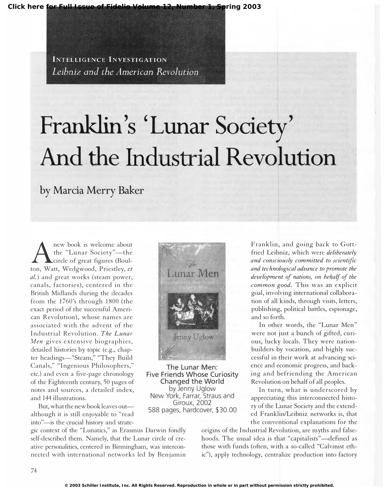**[Click here for Full Issue of Fidelio Volume 12, Number 1, Spring 2003](http://schillerinstitute.org/fidelio_archive/2003/fidv12n01-2003Sp/index.html)**

**INTELLIGENCE INVESTIGATION** Leibniz and the American Revolution

## Franklin's 'Lunar Society' And the Industrial Revolution

by Marcia Merry Baker

 ${\rm A}$ new book is welcome about the "Lunar Society"-the circle of great figures (Boulton, Watt, Wedgwood, Priestley, et al.) and great works (steam power, canals, factories), centered in the British Midlands during the decades from the 1760's through 1800 (the exact period of the successful American Revolution), whose names are associated with the advent of the Industrial Revolution. The Lunar Men gives extensive biographies, detailed histories by topic (e.g., chapter headings-"Steam," "They Build Canals," "Ingenious Philosophers," etc.) and even a five-page chronology of the Eighteenth century, 50 pages of notes and sources, a detailed index, and 144 illustrations.

But, what the new book leaves outalthough it is still enjoyable to "read into"-is the crucial history and strate-

gic context of the "Lunatics," as Erasmus Darwin fondly self-described them. Namely, that the Lunar circle of creative personalities, centered in Birmingham, was interconnected with international networks led by Benjamin



The Lunar Men: Five Friends Whose Curiosity Changed the World by Jenny Uglow New York, Farrar, Straus and Giroux, 2002 588 pages, hardcover, \$30.00

Franklin, and going back to Gottfried Leibniz, which were *deliberately* and consciously committed to scientific and technological advance to promote the development of nations, on behalf of the common good. This was an explicit goal, involving international collaboration of all kinds, through visits, letters, publishing, political battles, espionage, and so forth.

In other words, the "Lunar Men" were not just a bunch of gifted, curious, lucky locals. They were nationbuilders by vocation, and highly successful in their work at advancing science and economic progress, and backing and befriending the American Revolution on behalf of all peoples.

In turn, what is underscored by appreciating this interconnected history of the Lunar Society and the extended Franklin/Leibniz networks is, that the conventional explanations for the

origins of the Industrial Revolution, are myths and falsehoods. The usual idea is that "capitalists"-defined as those with funds (often, with a so-called "Calvinist ethic"), apply technology, centralize production into factory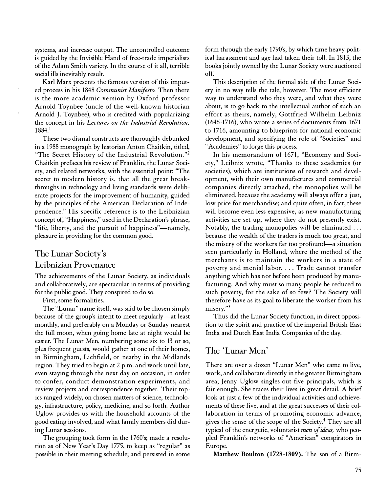systems, and increase output. The uncontrolled outcome is guided by the Invisible Hand of free-trade imperialists of the Adam Smith variety. In the course of it all, terrible social ills inevitably result.

Karl Marx presents the famous version of this imputed process in his 1848 Communist Manifesto. Then there is the more academic version by Oxford professor Arnold Toynbee (uncle of the well-known historian Arnold J. Toynbee), who is credited with popularizing the concept in his Lectures on the Industrial Revolution, 1 884.1

These two dismal constructs are thoroughly debunked in a 1988 monograph by historian Anton Chaitkin, titled, "The Secret History of the Industrial Revolution. "2 Chaitkin prefaces his review of Franklin, the Lunar Society, and related networks, with the essential point: "The secret to modern history is, that all the great breakthroughs in technology and living standards were deliberate projects for the improvement of humanity, guided by the principles of the American Declaration of Independence." His specific reference is to the Leibnizian concept of, "Happiness," used in the Declaration's phrase, "life, liberty, and the pursuit of happiness"—namely, pleasure in providing for the common good.

## The Lunar Society's Leibnizian Provenance

The achievements of the Lunar Society, as individuals and collaboratively, are spectacular in terms of providing for the public good. They conspired to do so.

First, some formalities.

The "Lunar" name itself, was said to be chosen simply because of the group's intent to meet regularly-at least monthly, and preferably on a Monday or Sunday nearest the full moon, when going home late at night would be easier. The Lunar Men, numbering some six to 13 or so, plus frequent guests, would gather at one of their homes, in Birmingham, Lichfield, or nearby in the Midlands region. They tried to begin at 2 p.m. and work until late, even staying through the next day on occasion, in order to confer, conduct demonstration experiments, and review projects and correspondence together. Their topics ranged widely, on chosen matters of science, technology, infrastructure, policy, medicine, and so forth. Author Uglow provides us with the household accounts of the good eating involved, and what family members did during Lunar sessions.

The grouping took form in the 1760's; made a resolution as of New Year's Day 1775, to keep as "regular" as possible in their meeting schedule; and persisted in some form through the early 1790's, by which time heavy political harassment and age had taken their toll. In 1813, the books jointly owned by the Lunar Society were auctioned off.

This description of the formal side of the Lunar Society in no way tells the tale, however. The most efficient way to understand who they were, and what they were about, is to go back to the intellectual author of such an effort as theirs, namely, Gottfried Wilhelm Leibniz  $(1646-1716)$ , who wrote a series of documents from  $1671$ to 1716, amounting to blueprints for national economic development, and specifying the role of "Societies" and "Academies" to forge this process.

In his memorandum of 1671, "Economy and Society," Leibniz wrote, "Thanks to these academies (or societies), which are institutions of research and development, with their own manufactures and commercial companies directly attached, the monopolies will be eliminated, because the academy will always offer a just, low price for merchandise; and quite often, in fact, these will become even less expensive, as new manufacturing activities are set up, where they do not presently exist. Notably, the trading monopolies will be eliminated ... because the wealth of the traders is much too great, and the misery of the workers far too profound-a situation seen particularly in Holland, where the method of the merchants is to maintain the workers in a state of poverty and menial labor . . .. Trade cannot transfer anything which has not before been produced by manufacturing. And why must so many people be reduced to such poverty, for the sake of so few? The Society will therefore have as its goal to liberate the worker from his misery."3

Thus did the Lunar Society function, in direct opposition to the spirit and practice of the imperial British East India and Dutch East India Companies of the day.

## The 'Lunar Men'

There are over a dozen "Lunar Men" who came to live, work, and collaborate directly in the greater Birmingham area; Jenny Uglow singles out five principals, which is fair enough. She traces their lives in great detail. A brief look at just a few of the individual activities and achievements of these five, and at the great successes of their collaboration in terms of promoting economic advance, gives the sense of the scope of the Society.4 They are all typical of the energetic, voluntarist men of ideas, who peopled Franklin's networks of "American" conspirators in Europe.

Matthew Boulton (1728-1809). The son of a Birm-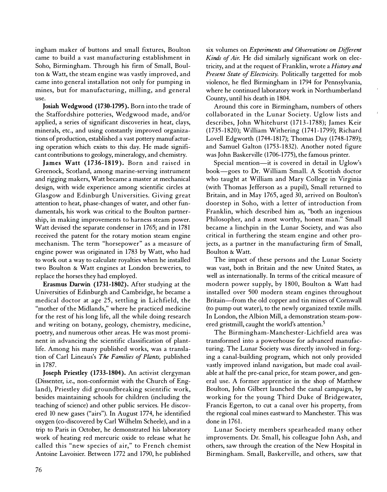ingham maker of buttons and small fixtures, Boulton came to build a vast manufacturing establishment in Soho, Birmingham. Through his firm of Small, Boulton & Watt, the steam engine was vastly improved, and came into general installation not only for pumping in mines, but for manufacturing, milling, and general use.

Josiah Wedgwood (1730-1795). Born into the trade of the Staffordshire potteries, Wedgwood made, and/or applied, a series of significant discoveries in heat, clays, minerals, etc., and using constantly improved organizations of production, established a vast pottery manufacturing operation which exists to this day. He made significant contributions to geology, mineralogy, and chemistry.

James Watt (1736-1819). Born and raised in Greenock, Scotland, among marine-serving instrument and rigging makers, Watt became a master at mechanical design, with wide experience among scientific circles at Glasgow and Edinburgh Universities. Giving great attention to heat, phase-changes of water, and other fundamentals, his work was critical to the Boulton partnership, in making improvements to harness steam power. Watt devised the separate condenser in 1765; and in 1781 received the patent for the rotary motion steam engine mechanism. The term "horsepower" as a measure of engine power was originated in 1783 by Watt, who had to work out a way to calculate royalties when he installed two Boulton & Watt engines at London breweries, to replace the horses they had employed.

Erasmus Darwin (1731-1802). After studying at the Universities of Edinburgh and Cambridge, he became a medical doctor at age 25, settling in Lichfield, the "mother of the Midlands," where he practiced medicine for the rest of his long life, all the while doing research and writing on botany, geology, chemistry, medicine, poetry, and numerous other areas. He was most prominent in advancing the scientific classification of plantlife. Among his many published works, was a translation of Carl Lineaus's The Families of Plants, published in 1787.

Joseph Priestley (1733-1804). An activist clergyman (Dissenter, i.e., non-conformist with the Church of England), Priestley did groundbreaking scientific work, besides maintaining schools for children (including the teaching of science) and other public services. He discovered 10 new gases ("airs"). In August 1774, he identified oxygen (co-discovered by Carl Wilhelm Scheele), and in a trip to Paris in October, he demonstrated his laboratory work of heating red mercuric oxide to release what he called this "new species of air," to French chemist Antoine Lavoisier. Between 1772 and 1790, he published

six volumes on Experiments and Observations on Different Kinds of Air. He did similarly significant work on electricity, and at the request of Franklin, wrote a *History and* Present State of Electricity. Politically targetted for mob violence, he fled Birmingham in 1794 for Pennsylvania, where he continued laboratory work in Northumberland County, until his death in 1804.

Around this core in Birmingham, numbers of others collaborated in the Lunar Society. Uglow lists and describes, John Whitehurst (1713-1788); James Keir (1735-1 820); William Withering (1741-1799); Richard Lovell Edgworth (1744-1817); Thomas Day (1748-1789); and Samuel Galton (1753-1832). Another noted figure was John Baskerville (1706-1775), the famous printer.

Special mention-it is covered in detail in Uglow's book-goes to Dr. William Small. A Scottish doctor who taught at William and Mary College in Virginia (with Thomas Jefferson as a pupil), Small returned to Britain, and in May 1765, aged 30, arrived on Boulton's doorstep in Soho, with a letter of introduction from Franklin, which described him as, "both an ingenious Philosopher, and a most worthy, honest man." Small became a linchpin in the Lunar Society, and was also critical in furthering the steam engine and other projects, as a partner in the manufacturing firm of Small, Boulton & Watt.

The impact of these persons and the Lunar Society was vast, both in Britain and the new United States, as well as internationally. In terms of the critical measure of modern power supply, by 1 800, Boulton & Watt had installed over 500 modern steam engines throughout Britain-from the old copper and tin mines of Cornwall (to pump out water), to the newly organized textile mills. In London, the Albion Mill, a demonstration steam-powered gristmill, caught the world's attention.<sup>5</sup>

The Birmingham-Manchester-Lichfield area was transformed into a powerhouse for advanced manufacturing. The Lunar Society was directly involved in forging a canal-building program, which not only provided vastly improved inland navigation, but made coal available at half the pre-canal price, for steam power, and general use. A former apprentice in the shop of Matthew Boulton, John Gilbert launched the canal campaign, by working for the young Third Duke of Bridgewater, Francis Egerton, to cut a canal over his property, from the regional coal mines eastward to Manchester. This was done in 1761.

Lunar Society members spearheaded many other improvements. Dr. Small, his colleague John Ash, and others, saw through the creation of the New Hospital in Birmingham. Small, Baskerville, and others, saw that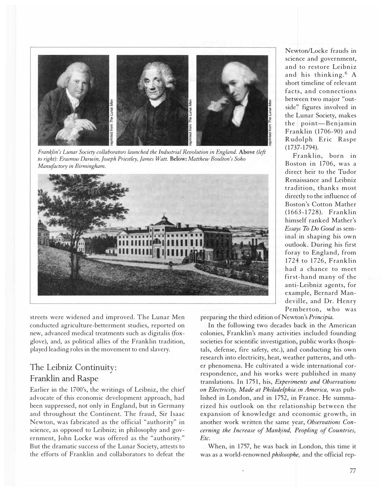

Franklin's Lunar Society collaborators launched the Industrial Revolution in England. Above (left to right): Erasmus Darwin, Joseph Priestley, James Watt. Below: Matthew Boulton's Soho Manufoctory in Birmingham.



streets were widened and improved. The Lunar Men conducted agriculture-betterment studies, reported on new, advanced medical treatments such as digitalis (foxglove), and, as political allies of the Franklin tradition, played leading roles in the movement to end slavery.

## The Leibniz Continuity : Franklin and Raspe

Earlier in the 1700's, the writings of Leibniz, the chief advocate of this economic development approach, had been suppressed, not only in England, but in Germany and throughout the Continent. The fraud, Sir Isaac Newton, was fabricated as the official "authority" in science, as opposed to Leibniz; in philosophy and government, John Locke was offered as the "authority." But the dramatic success of the Lunar Society, attests to the efforts of Franklin and collaborators to defeat the

Newton/Locke frauds in science and government, and to restore Leibniz and his thinking.6 A short timeline of relevant facts, and connections between two major "outside" figures involved in the Lunar Society, makes the point-Benjamin Franklin (1706-90) and Rudolph Eric Raspe (1737-1794).

Franklin, born in Boston in 1706, was a direct heir to the Tudor Renaissance and Leibniz tradition, thanks most directly to the influence of Boston's Cotton Mather (1663-1728). Franklin himself ranked Mather's Essays To Do Good as seminal in shaping his own outlook. During his first foray to England, from 1724 to 1726, Franklin had a chance to meet first-hand many of the anti-Leibniz agents, for example, Bernard Mandeville, and Dr. Henry Pemberton, who was

preparing the third edition of Newton's Principia.

In the following two decades back in the American colonies, Franklin's many activities included founding societies for scientific investigation, public works (hospitals, defense, fire safety, etc.), and conducting his own research into electricity, heat, weather patterns, and other phenomena. He cultivated a wide international correspondence, and his works were published in many translations. In 1751, his, Experiments and Observations on Electricity, Made at Philadelphia in America, was published in London, and in 1752, in France. He summarized his outlook on the relationship between the expansion of knowledge and economic growth, in another work written the same year, Observations Concerning the Increase of Mankind, Peopling of Countries, Etc.

When, in 1757, he was back in London, this time it was as a world-renowned philosophe, and the official rep-